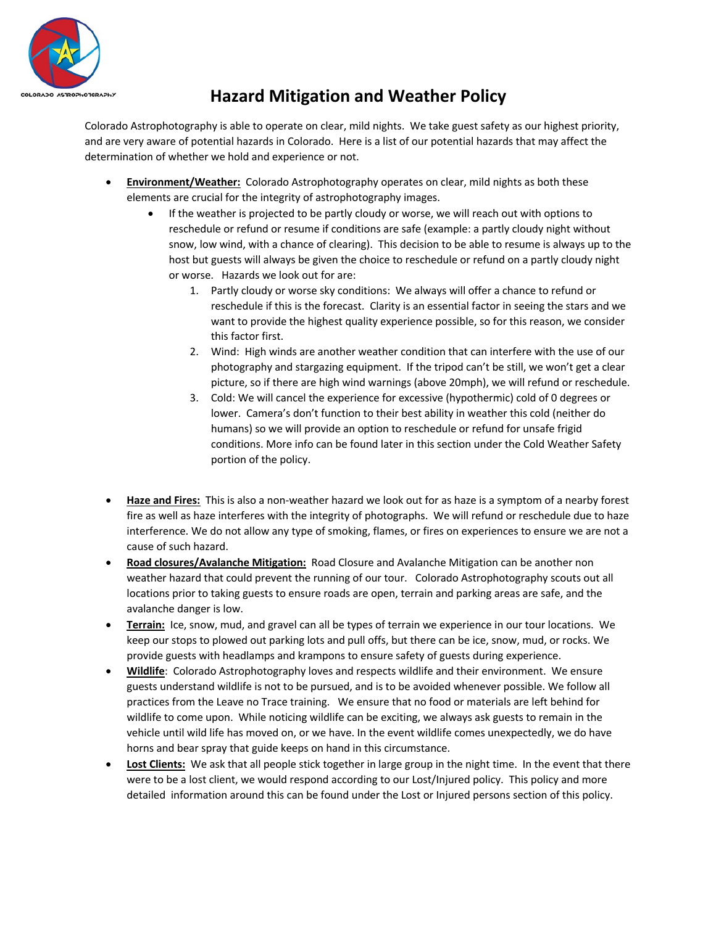

## **Hazard Mitigation and Weather Policy**

Colorado Astrophotography is able to operate on clear, mild nights. We take guest safety as our highest priority, and are very aware of potential hazards in Colorado. Here is a list of our potential hazards that may affect the determination of whether we hold and experience or not.

- **Environment/Weather:** Colorado Astrophotography operates on clear, mild nights as both these elements are crucial for the integrity of astrophotography images.
	- If the weather is projected to be partly cloudy or worse, we will reach out with options to reschedule or refund or resume if conditions are safe (example: a partly cloudy night without snow, low wind, with a chance of clearing). This decision to be able to resume is always up to the host but guests will always be given the choice to reschedule or refund on a partly cloudy night or worse. Hazards we look out for are:
		- 1. Partly cloudy or worse sky conditions: We always will offer a chance to refund or reschedule if this is the forecast. Clarity is an essential factor in seeing the stars and we want to provide the highest quality experience possible, so for this reason, we consider this factor first.
		- 2. Wind: High winds are another weather condition that can interfere with the use of our photography and stargazing equipment. If the tripod can't be still, we won't get a clear picture, so if there are high wind warnings (above 20mph), we will refund or reschedule.
		- 3. Cold: We will cancel the experience for excessive (hypothermic) cold of 0 degrees or lower. Camera's don't function to their best ability in weather this cold (neither do humans) so we will provide an option to reschedule or refund for unsafe frigid conditions. More info can be found later in this section under the Cold Weather Safety portion of the policy.
- **Haze and Fires:** This is also a non-weather hazard we look out for as haze is a symptom of a nearby forest fire as well as haze interferes with the integrity of photographs. We will refund or reschedule due to haze interference. We do not allow any type of smoking, flames, or fires on experiences to ensure we are not a cause of such hazard.
- **Road closures/Avalanche Mitigation:** Road Closure and Avalanche Mitigation can be another non weather hazard that could prevent the running of our tour. Colorado Astrophotography scouts out all locations prior to taking guests to ensure roads are open, terrain and parking areas are safe, and the avalanche danger is low.
- **Terrain:** Ice, snow, mud, and gravel can all be types of terrain we experience in our tour locations. We keep our stops to plowed out parking lots and pull offs, but there can be ice, snow, mud, or rocks. We provide guests with headlamps and krampons to ensure safety of guests during experience.
- **Wildlife**: Colorado Astrophotography loves and respects wildlife and their environment. We ensure guests understand wildlife is not to be pursued, and is to be avoided whenever possible. We follow all practices from the Leave no Trace training. We ensure that no food or materials are left behind for wildlife to come upon. While noticing wildlife can be exciting, we always ask guests to remain in the vehicle until wild life has moved on, or we have. In the event wildlife comes unexpectedly, we do have horns and bear spray that guide keeps on hand in this circumstance.
- **Lost Clients:** We ask that all people stick together in large group in the night time. In the event that there were to be a lost client, we would respond according to our Lost/Injured policy. This policy and more detailed information around this can be found under the Lost or Injured persons section of this policy.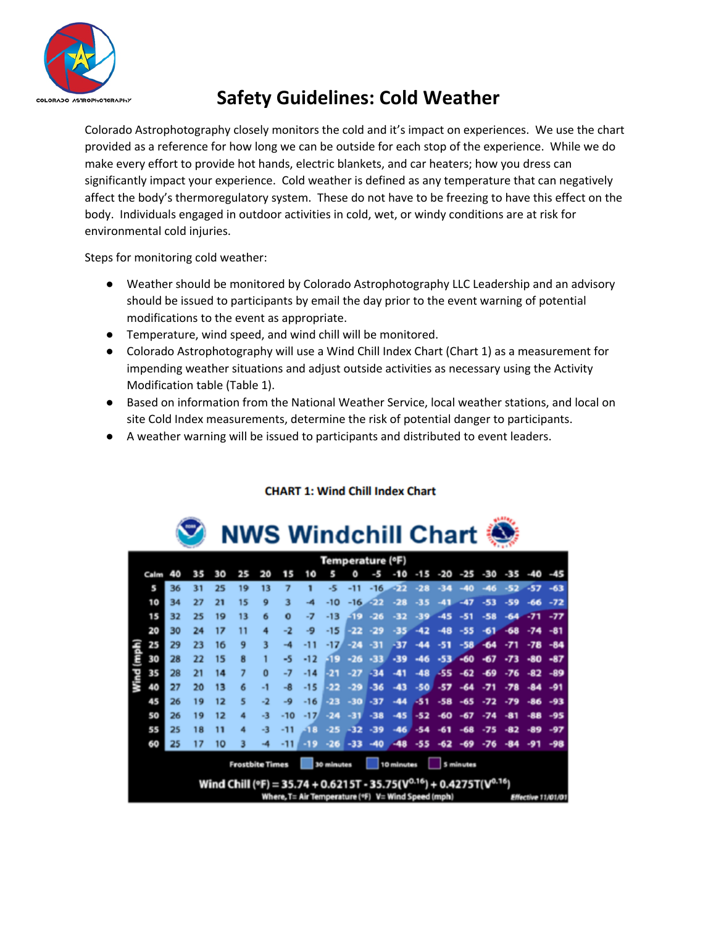

# **Safety Guidelines: Cold Weather**

Colorado Astrophotography closely monitors the cold and it's impact on experiences. We use the chart provided as a reference for how long we can be outside for each stop of the experience. While we do make every effort to provide hot hands, electric blankets, and car heaters; how you dress can significantly impact your experience. Cold weather is defined as any temperature that can negatively affect the body's thermoregulatory system. These do not have to be freezing to have this effect on the body. Individuals engaged in outdoor activities in cold, wet, or windy conditions are at risk for environmental cold injuries.

Steps for monitoring cold weather:

- Weather should be monitored by Colorado Astrophotography LLC Leadership and an advisory should be issued to participants by email the day prior to the event warning of potential modifications to the event as appropriate.
- Temperature, wind speed, and wind chill will be monitored.
- Colorado Astrophotography will use a Wind Chill Index Chart (Chart 1) as a measurement for impending weather situations and adjust outside activities as necessary using the Activity Modification table (Table 1).
- Based on information from the National Weather Service, local weather stations, and local on site Cold Index measurements, determine the risk of potential danger to participants.
- A weather warning will be issued to participants and distributed to event leaders.

|                        |                                                                                 |    |    |    |    |                                       |          |       |                  |       |       | UVVƏ VVIIIULIIIII VIIAI L |        |       |       |       |                 |       |       |
|------------------------|---------------------------------------------------------------------------------|----|----|----|----|---------------------------------------|----------|-------|------------------|-------|-------|---------------------------|--------|-------|-------|-------|-----------------|-------|-------|
|                        |                                                                                 |    |    |    |    |                                       |          |       | Temperature (°F) |       |       |                           |        |       |       |       |                 |       |       |
|                        | Calm                                                                            | 40 | 35 | 30 | 25 | 20                                    | 15       | 10    |                  | ٥     | -5    | -10                       | $-1.5$ | -20   | $-25$ |       | $-30 - 35 - 40$ |       | $-45$ |
|                        | 5                                                                               | 36 | 31 | 25 | 19 | 13                                    | 7        |       | -5               | $-11$ | $-16$ | $-22$                     | $-28$  | $-34$ | $-40$ | $-46$ | $-52$           | $-57$ | $-63$ |
|                        | 10                                                                              | 34 | 27 | 21 | 15 | 9                                     | 3        | -4    | $-10$            | $-16$ | ووتي  | $-28$                     | $-35$  | $-41$ | $-47$ | $-53$ | $-59$           | $-66$ | $-72$ |
|                        | 15                                                                              | 32 | 25 | 19 | 13 | 6                                     | $\bf{0}$ | -7    | $-13$            | -19   | $-26$ | -32                       | $-39$  | $-45$ | $-51$ | $-58$ | $-64$           | $-71$ | $-77$ |
|                        | 20                                                                              | 30 | 24 | 17 | 11 | 4                                     | -2       | -9    | $-15$            | -22   | $-29$ | -35                       | $-42$  | -48   | $-55$ | $-61$ | $-68$           | $-74$ | -81   |
|                        | 25                                                                              | 29 | 23 | 16 | 9  | 3                                     | -4       | -11   | $-17/$           | $-24$ | -31   | -37                       | -44    | -51   | $-58$ | $-64$ | $-71$           | $-78$ | $-84$ |
| Wind (mph)             | 30                                                                              | 28 | 22 | 15 | 8  |                                       | -5       | $-12$ | -19              | $-26$ | $-33$ | $-39$                     | $-46$  | $-53$ | $-60$ | $-67$ | $-73$           | $-80$ | $-87$ |
|                        | 35                                                                              | 28 | 21 | 14 | 7  | $\bf{0}$                              | -7       | $-14$ | -21              | $-27$ | $-34$ | -41                       | $-48$  | -55   | $-62$ | $-69$ | -76             | $-82$ | $-89$ |
|                        | 40                                                                              | 27 | 20 | 13 | 6  | -1                                    | -8       | $-15$ | -22              | $-29$ | $-36$ | -43                       | $-50$  | $-57$ | $-64$ | $-71$ | $-78$           | $-84$ | -91   |
|                        | 45                                                                              | 26 | 19 | 12 | 5  | $-2$                                  | -9       | $-16$ | $-23$            | $-30$ | $-37$ | -44                       | -51    | $-58$ | $-65$ | -72   | $-79$           | $-86$ | $-93$ |
|                        | 50                                                                              | 26 | 19 | 12 | 4  | -3                                    | $-10$    | $-17$ | $-24$            | -31   | $-38$ | $-45$                     | $-52$  | -60   | $-67$ | $-74$ | -81             | $-88$ | $-95$ |
|                        | 55                                                                              | 25 | 18 | 11 |    | -3                                    | -11      | -1 R  | $-25$            | $-32$ | -39   | -46                       | $-54$  | -61   | $-68$ | $-75$ | $-82$           | $-89$ | -97   |
|                        | 60                                                                              | 25 | 17 | 10 |    |                                       |          |       | $-26$            | -33   | -40   | $-48$                     | $-5.5$ | $-62$ | $-69$ | $-76$ | $-84$           |       | -98   |
| <b>Frostbite Times</b> |                                                                                 |    |    |    |    | 5 minutes<br>30 minutes<br>10 minutes |          |       |                  |       |       |                           |        |       |       |       |                 |       |       |
|                        | Wind Chill (°F) = 35.74 + 0.6215T - 35.75( $V^{0.16}$ ) + 0.4275T( $V^{0.16}$ ) |    |    |    |    |                                       |          |       |                  |       |       |                           |        |       |       |       |                 |       |       |
|                        | Where, T= Air Temperature (*F) V= Wind Speed (mph)<br>Effective 11/01/01        |    |    |    |    |                                       |          |       |                  |       |       |                           |        |       |       |       |                 |       |       |

#### **CHART 1: Wind Chill Index Chart**

NIME Windobill Chart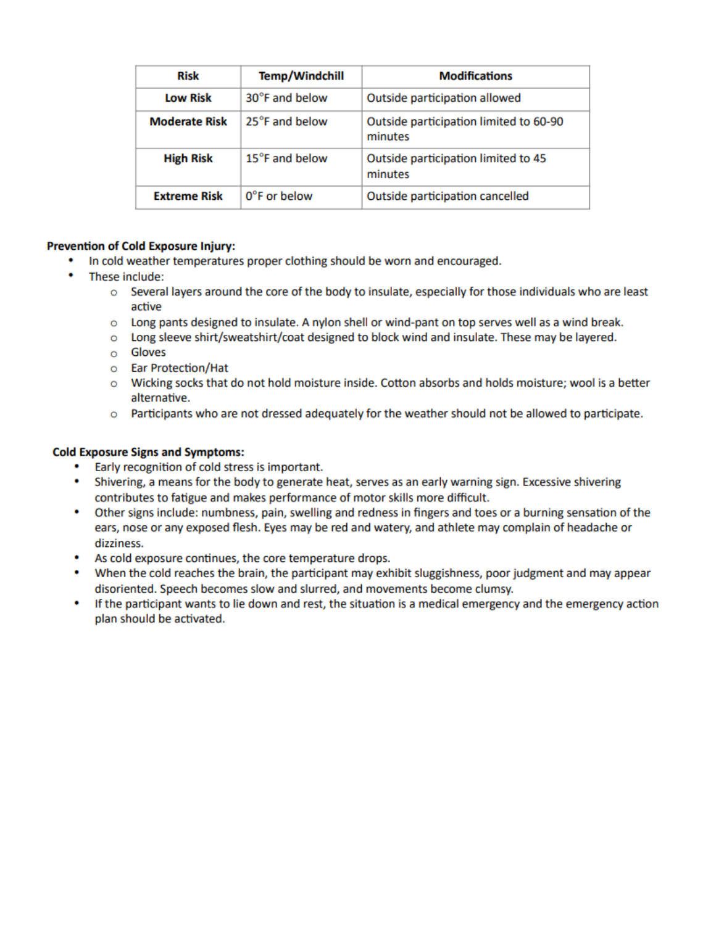| <b>Risk</b>          | Temp/Windchill | <b>Modifications</b>                              |  |  |  |  |  |
|----------------------|----------------|---------------------------------------------------|--|--|--|--|--|
| <b>Low Risk</b>      | 30°F and below | Outside participation allowed                     |  |  |  |  |  |
| <b>Moderate Risk</b> | 25°F and below | Outside participation limited to 60-90<br>minutes |  |  |  |  |  |
| <b>High Risk</b>     | 15°F and below | Outside participation limited to 45<br>minutes    |  |  |  |  |  |
| <b>Extreme Risk</b>  | 0°F or below   | Outside participation cancelled                   |  |  |  |  |  |

#### **Prevention of Cold Exposure Injury:**

- In cold weather temperatures proper clothing should be worn and encouraged.
- These include:
	- o Several layers around the core of the body to insulate, especially for those individuals who are least active
	- Long pants designed to insulate. A nylon shell or wind-pant on top serves well as a wind break.  $\circ$
	- o Long sleeve shirt/sweatshirt/coat designed to block wind and insulate. These may be layered.
	- o Gloves
	- o Ear Protection/Hat
	- $\circ$  Wicking socks that do not hold moisture inside. Cotton absorbs and holds moisture; wool is a better alternative.
	- o Participants who are not dressed adequately for the weather should not be allowed to participate.

#### **Cold Exposure Signs and Symptoms:**

- Early recognition of cold stress is important.
- Shivering, a means for the body to generate heat, serves as an early warning sign. Excessive shivering contributes to fatigue and makes performance of motor skills more difficult.
- $\bullet$ Other signs include: numbness, pain, swelling and redness in fingers and toes or a burning sensation of the ears, nose or any exposed flesh. Eyes may be red and watery, and athlete may complain of headache or dizziness.
- As cold exposure continues, the core temperature drops.
- When the cold reaches the brain, the participant may exhibit sluggishness, poor judgment and may appear disoriented. Speech becomes slow and slurred, and movements become clumsy.
- $\bullet$ If the participant wants to lie down and rest, the situation is a medical emergency and the emergency action plan should be activated.